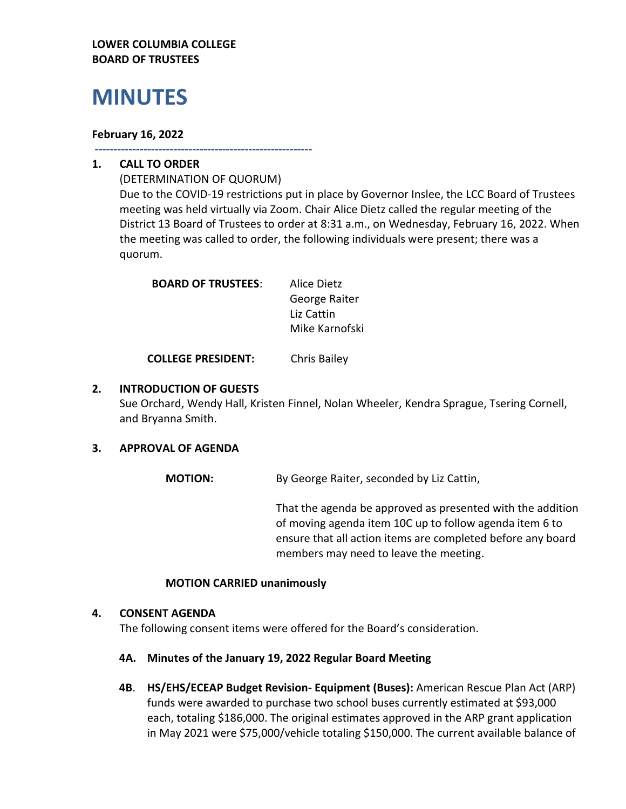## **LOWER COLUMBIA COLLEGE BOARD OF TRUSTEES**

# **MINUTES**

## **February 16, 2022**

**----------------------------------------------------------**

# **1. CALL TO ORDER**

(DETERMINATION OF QUORUM) Due to the COVID-19 restrictions put in place by Governor Inslee, the LCC Board of Trustees meeting was held virtually via Zoom. Chair Alice Dietz called the regular meeting of the District 13 Board of Trustees to order at 8:31 a.m., on Wednesday, February 16, 2022. When the meeting was called to order, the following individuals were present; there was a quorum.

| <b>BOARD OF TRUSTEES:</b> | Alice Dietz    |
|---------------------------|----------------|
|                           | George Raiter  |
|                           | Liz Cattin     |
|                           | Mike Karnofski |

**COLLEGE PRESIDENT:** Chris Bailey

## **2. INTRODUCTION OF GUESTS**

Sue Orchard, Wendy Hall, Kristen Finnel, Nolan Wheeler, Kendra Sprague, Tsering Cornell, and Bryanna Smith.

## **3. APPROVAL OF AGENDA**

**MOTION:** By George Raiter, seconded by Liz Cattin,

That the agenda be approved as presented with the addition of moving agenda item 10C up to follow agenda item 6 to ensure that all action items are completed before any board members may need to leave the meeting.

#### **MOTION CARRIED unanimously**

#### **4. CONSENT AGENDA**

The following consent items were offered for the Board's consideration.

#### **4A. Minutes of the January 19, 2022 Regular Board Meeting**

**4B**. **HS/EHS/ECEAP Budget Revision- Equipment (Buses):** American Rescue Plan Act (ARP) funds were awarded to purchase two school buses currently estimated at \$93,000 each, totaling \$186,000. The original estimates approved in the ARP grant application in May 2021 were \$75,000/vehicle totaling \$150,000. The current available balance of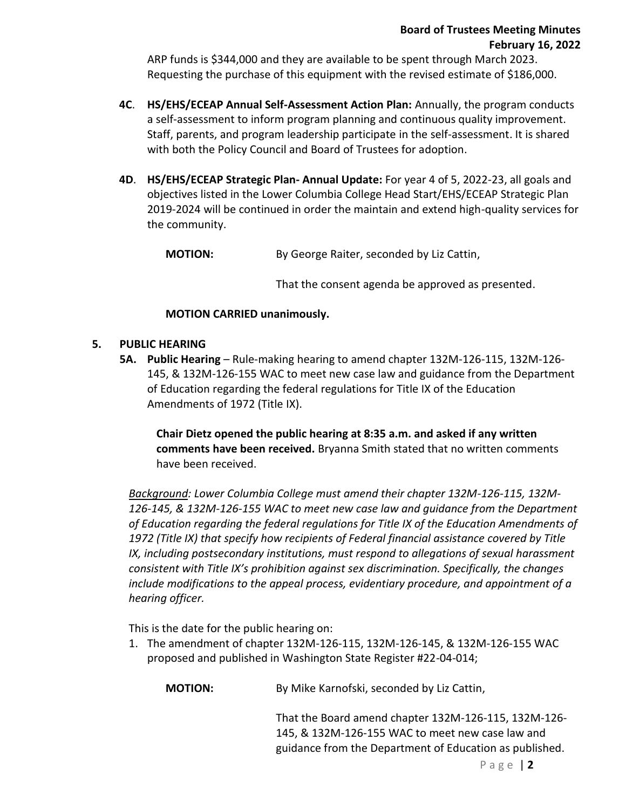ARP funds is \$344,000 and they are available to be spent through March 2023. Requesting the purchase of this equipment with the revised estimate of \$186,000.

- **4C**. **HS/EHS/ECEAP Annual Self-Assessment Action Plan:** Annually, the program conducts a self-assessment to inform program planning and continuous quality improvement. Staff, parents, and program leadership participate in the self-assessment. It is shared with both the Policy Council and Board of Trustees for adoption.
- **4D**. **HS/EHS/ECEAP Strategic Plan- Annual Update:** For year 4 of 5, 2022-23, all goals and objectives listed in the Lower Columbia College Head Start/EHS/ECEAP Strategic Plan 2019-2024 will be continued in order the maintain and extend high-quality services for the community.

**MOTION:** By George Raiter, seconded by Liz Cattin,

That the consent agenda be approved as presented.

## **MOTION CARRIED unanimously.**

## **5. PUBLIC HEARING**

**5A. Public Hearing** – Rule-making hearing to amend chapter 132M-126-115, 132M-126- 145, & 132M-126-155 WAC to meet new case law and guidance from the Department of Education regarding the federal regulations for Title IX of the Education Amendments of 1972 (Title IX).

**Chair Dietz opened the public hearing at 8:35 a.m. and asked if any written comments have been received.** Bryanna Smith stated that no written comments have been received.

*Background: Lower Columbia College must amend their chapter 132M-126-115, 132M-126-145, & 132M-126-155 WAC to meet new case law and guidance from the Department of Education regarding the federal regulations for Title IX of the Education Amendments of 1972 (Title IX) that specify how recipients of Federal financial assistance covered by Title IX, including postsecondary institutions, must respond to allegations of sexual harassment consistent with Title IX's prohibition against sex discrimination. Specifically, the changes include modifications to the appeal process, evidentiary procedure, and appointment of a hearing officer.*

This is the date for the public hearing on:

1. The amendment of chapter 132M-126-115, 132M-126-145, & 132M-126-155 WAC proposed and published in Washington State Register #22-04-014;

**MOTION:** By Mike Karnofski, seconded by Liz Cattin,

That the Board amend chapter 132M-126-115, 132M-126- 145, & 132M-126-155 WAC to meet new case law and guidance from the Department of Education as published.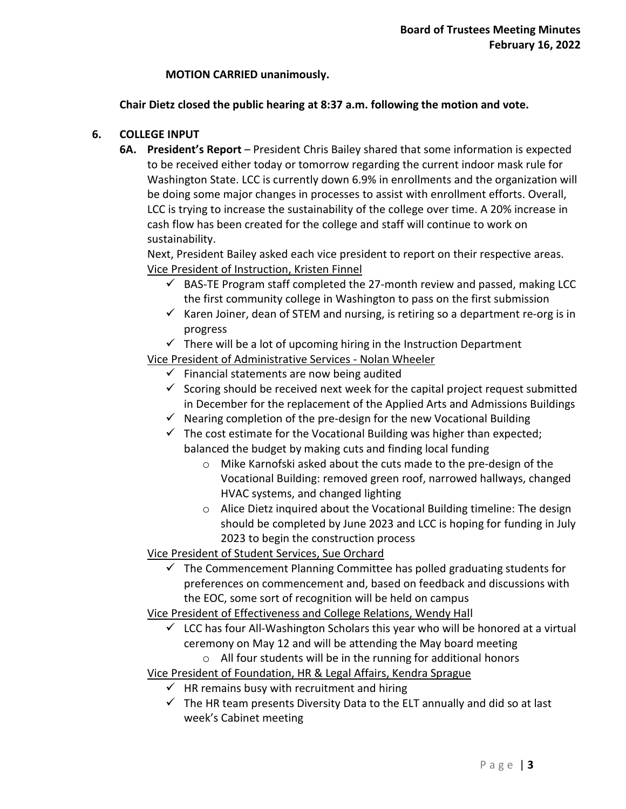## **MOTION CARRIED unanimously.**

## **Chair Dietz closed the public hearing at 8:37 a.m. following the motion and vote.**

## **6. COLLEGE INPUT**

**6A. President's Report** – President Chris Bailey shared that some information is expected to be received either today or tomorrow regarding the current indoor mask rule for Washington State. LCC is currently down 6.9% in enrollments and the organization will be doing some major changes in processes to assist with enrollment efforts. Overall, LCC is trying to increase the sustainability of the college over time. A 20% increase in cash flow has been created for the college and staff will continue to work on sustainability.

Next, President Bailey asked each vice president to report on their respective areas. Vice President of Instruction, Kristen Finnel

- $\checkmark$  BAS-TE Program staff completed the 27-month review and passed, making LCC the first community college in Washington to pass on the first submission
- $\checkmark$  Karen Joiner, dean of STEM and nursing, is retiring so a department re-org is in progress
- $\checkmark$  There will be a lot of upcoming hiring in the Instruction Department

Vice President of Administrative Services - Nolan Wheeler

- $\checkmark$  Financial statements are now being audited
- $\checkmark$  Scoring should be received next week for the capital project request submitted in December for the replacement of the Applied Arts and Admissions Buildings
- $\checkmark$  Nearing completion of the pre-design for the new Vocational Building
- $\checkmark$  The cost estimate for the Vocational Building was higher than expected; balanced the budget by making cuts and finding local funding
	- o Mike Karnofski asked about the cuts made to the pre-design of the Vocational Building: removed green roof, narrowed hallways, changed HVAC systems, and changed lighting
	- $\circ$  Alice Dietz inquired about the Vocational Building timeline: The design should be completed by June 2023 and LCC is hoping for funding in July 2023 to begin the construction process

Vice President of Student Services, Sue Orchard

 $\checkmark$  The Commencement Planning Committee has polled graduating students for preferences on commencement and, based on feedback and discussions with the EOC, some sort of recognition will be held on campus

Vice President of Effectiveness and College Relations, Wendy Hall

- $\checkmark$  LCC has four All-Washington Scholars this year who will be honored at a virtual ceremony on May 12 and will be attending the May board meeting
	- o All four students will be in the running for additional honors

Vice President of Foundation, HR & Legal Affairs, Kendra Sprague

- $\checkmark$  HR remains busy with recruitment and hiring
- $\checkmark$  The HR team presents Diversity Data to the ELT annually and did so at last week's Cabinet meeting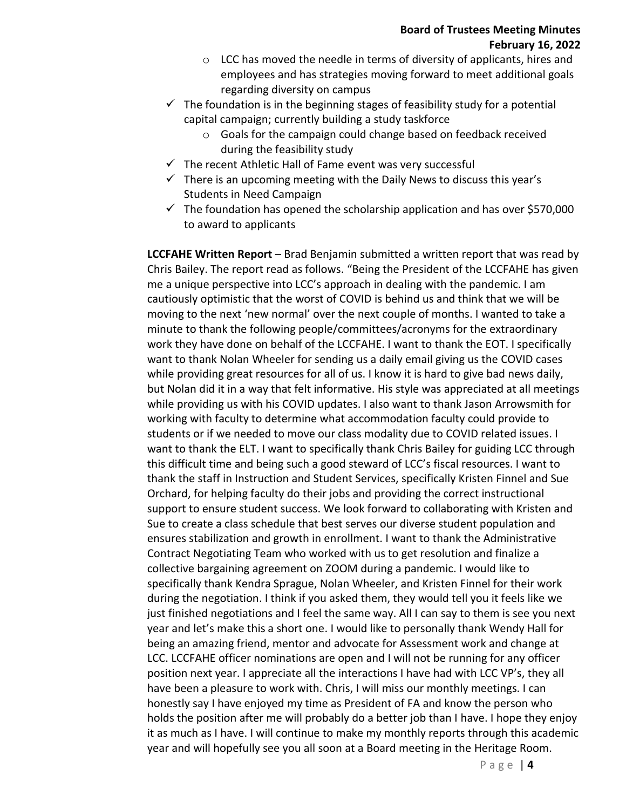- o LCC has moved the needle in terms of diversity of applicants, hires and employees and has strategies moving forward to meet additional goals regarding diversity on campus
- $\checkmark$  The foundation is in the beginning stages of feasibility study for a potential capital campaign; currently building a study taskforce
	- o Goals for the campaign could change based on feedback received during the feasibility study
- $\checkmark$  The recent Athletic Hall of Fame event was very successful
- $\checkmark$  There is an upcoming meeting with the Daily News to discuss this year's Students in Need Campaign
- $\checkmark$  The foundation has opened the scholarship application and has over \$570,000 to award to applicants

**LCCFAHE Written Report** – Brad Benjamin submitted a written report that was read by Chris Bailey. The report read as follows. "Being the President of the LCCFAHE has given me a unique perspective into LCC's approach in dealing with the pandemic. I am cautiously optimistic that the worst of COVID is behind us and think that we will be moving to the next 'new normal' over the next couple of months. I wanted to take a minute to thank the following people/committees/acronyms for the extraordinary work they have done on behalf of the LCCFAHE. I want to thank the EOT. I specifically want to thank Nolan Wheeler for sending us a daily email giving us the COVID cases while providing great resources for all of us. I know it is hard to give bad news daily, but Nolan did it in a way that felt informative. His style was appreciated at all meetings while providing us with his COVID updates. I also want to thank Jason Arrowsmith for working with faculty to determine what accommodation faculty could provide to students or if we needed to move our class modality due to COVID related issues. I want to thank the ELT. I want to specifically thank Chris Bailey for guiding LCC through this difficult time and being such a good steward of LCC's fiscal resources. I want to thank the staff in Instruction and Student Services, specifically Kristen Finnel and Sue Orchard, for helping faculty do their jobs and providing the correct instructional support to ensure student success. We look forward to collaborating with Kristen and Sue to create a class schedule that best serves our diverse student population and ensures stabilization and growth in enrollment. I want to thank the Administrative Contract Negotiating Team who worked with us to get resolution and finalize a collective bargaining agreement on ZOOM during a pandemic. I would like to specifically thank Kendra Sprague, Nolan Wheeler, and Kristen Finnel for their work during the negotiation. I think if you asked them, they would tell you it feels like we just finished negotiations and I feel the same way. All I can say to them is see you next year and let's make this a short one. I would like to personally thank Wendy Hall for being an amazing friend, mentor and advocate for Assessment work and change at LCC. LCCFAHE officer nominations are open and I will not be running for any officer position next year. I appreciate all the interactions I have had with LCC VP's, they all have been a pleasure to work with. Chris, I will miss our monthly meetings. I can honestly say I have enjoyed my time as President of FA and know the person who holds the position after me will probably do a better job than I have. I hope they enjoy it as much as I have. I will continue to make my monthly reports through this academic year and will hopefully see you all soon at a Board meeting in the Heritage Room.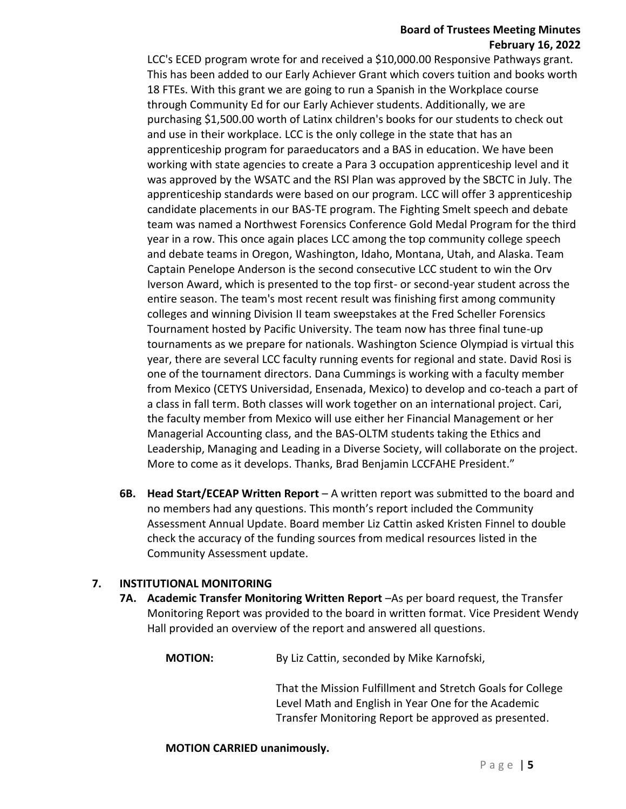#### **Board of Trustees Meeting Minutes February 16, 2022**

LCC's ECED program wrote for and received a \$10,000.00 Responsive Pathways grant. This has been added to our Early Achiever Grant which covers tuition and books worth 18 FTEs. With this grant we are going to run a Spanish in the Workplace course through Community Ed for our Early Achiever students. Additionally, we are purchasing \$1,500.00 worth of Latinx children's books for our students to check out and use in their workplace. LCC is the only college in the state that has an apprenticeship program for paraeducators and a BAS in education. We have been working with state agencies to create a Para 3 occupation apprenticeship level and it was approved by the WSATC and the RSI Plan was approved by the SBCTC in July. The apprenticeship standards were based on our program. LCC will offer 3 apprenticeship candidate placements in our BAS-TE program. The Fighting Smelt speech and debate team was named a Northwest Forensics Conference Gold Medal Program for the third year in a row. This once again places LCC among the top community college speech and debate teams in Oregon, Washington, Idaho, Montana, Utah, and Alaska. Team Captain Penelope Anderson is the second consecutive LCC student to win the Orv Iverson Award, which is presented to the top first- or second-year student across the entire season. The team's most recent result was finishing first among community colleges and winning Division II team sweepstakes at the Fred Scheller Forensics Tournament hosted by Pacific University. The team now has three final tune-up tournaments as we prepare for nationals. Washington Science Olympiad is virtual this year, there are several LCC faculty running events for regional and state. David Rosi is one of the tournament directors. Dana Cummings is working with a faculty member from Mexico (CETYS Universidad, Ensenada, Mexico) to develop and co-teach a part of a class in fall term. Both classes will work together on an international project. Cari, the faculty member from Mexico will use either her Financial Management or her Managerial Accounting class, and the BAS-OLTM students taking the Ethics and Leadership, Managing and Leading in a Diverse Society, will collaborate on the project. More to come as it develops. Thanks, Brad Benjamin LCCFAHE President."

**6B. Head Start/ECEAP Written Report** – A written report was submitted to the board and no members had any questions. This month's report included the Community Assessment Annual Update. Board member Liz Cattin asked Kristen Finnel to double check the accuracy of the funding sources from medical resources listed in the Community Assessment update.

## **7. INSTITUTIONAL MONITORING**

**7A. Academic Transfer Monitoring Written Report** –As per board request, the Transfer Monitoring Report was provided to the board in written format. Vice President Wendy Hall provided an overview of the report and answered all questions.

**MOTION:** By Liz Cattin, seconded by Mike Karnofski,

That the Mission Fulfillment and Stretch Goals for College Level Math and English in Year One for the Academic Transfer Monitoring Report be approved as presented.

#### **MOTION CARRIED unanimously.**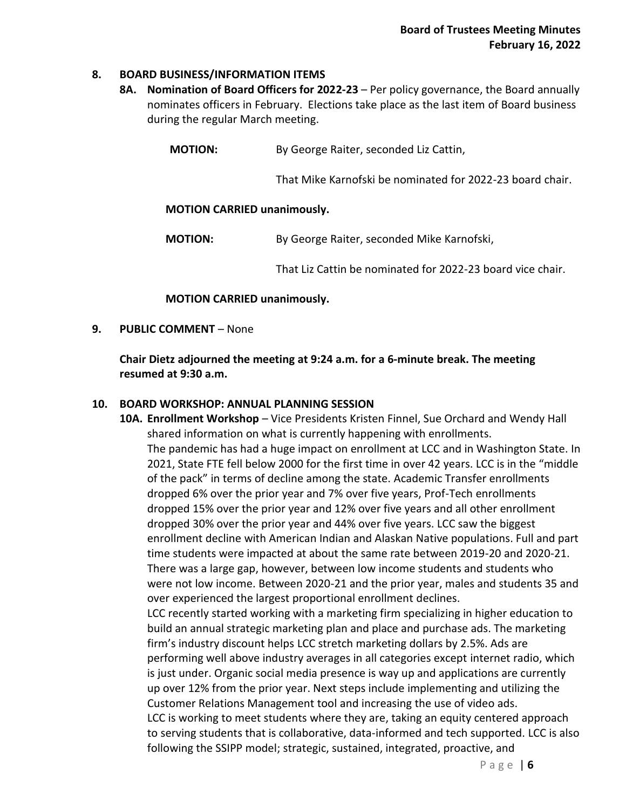#### **8. BOARD BUSINESS/INFORMATION ITEMS**

**8A. Nomination of Board Officers for 2022-23** – Per policy governance, the Board annually nominates officers in February. Elections take place as the last item of Board business during the regular March meeting.

That Mike Karnofski be nominated for 2022-23 board chair.

#### **MOTION CARRIED unanimously.**

**MOTION:** By George Raiter, seconded Mike Karnofski,

That Liz Cattin be nominated for 2022-23 board vice chair.

#### **MOTION CARRIED unanimously.**

**9. PUBLIC COMMENT** – None

**Chair Dietz adjourned the meeting at 9:24 a.m. for a 6-minute break. The meeting resumed at 9:30 a.m.** 

#### **10. BOARD WORKSHOP: ANNUAL PLANNING SESSION**

**10A. Enrollment Workshop** – Vice Presidents Kristen Finnel, Sue Orchard and Wendy Hall shared information on what is currently happening with enrollments. The pandemic has had a huge impact on enrollment at LCC and in Washington State. In 2021, State FTE fell below 2000 for the first time in over 42 years. LCC is in the "middle of the pack" in terms of decline among the state. Academic Transfer enrollments dropped 6% over the prior year and 7% over five years, Prof-Tech enrollments dropped 15% over the prior year and 12% over five years and all other enrollment dropped 30% over the prior year and 44% over five years. LCC saw the biggest enrollment decline with American Indian and Alaskan Native populations. Full and part time students were impacted at about the same rate between 2019-20 and 2020-21. There was a large gap, however, between low income students and students who were not low income. Between 2020-21 and the prior year, males and students 35 and over experienced the largest proportional enrollment declines. LCC recently started working with a marketing firm specializing in higher education to build an annual strategic marketing plan and place and purchase ads. The marketing firm's industry discount helps LCC stretch marketing dollars by 2.5%. Ads are performing well above industry averages in all categories except internet radio, which is just under. Organic social media presence is way up and applications are currently

up over 12% from the prior year. Next steps include implementing and utilizing the Customer Relations Management tool and increasing the use of video ads. LCC is working to meet students where they are, taking an equity centered approach to serving students that is collaborative, data-informed and tech supported. LCC is also following the SSIPP model; strategic, sustained, integrated, proactive, and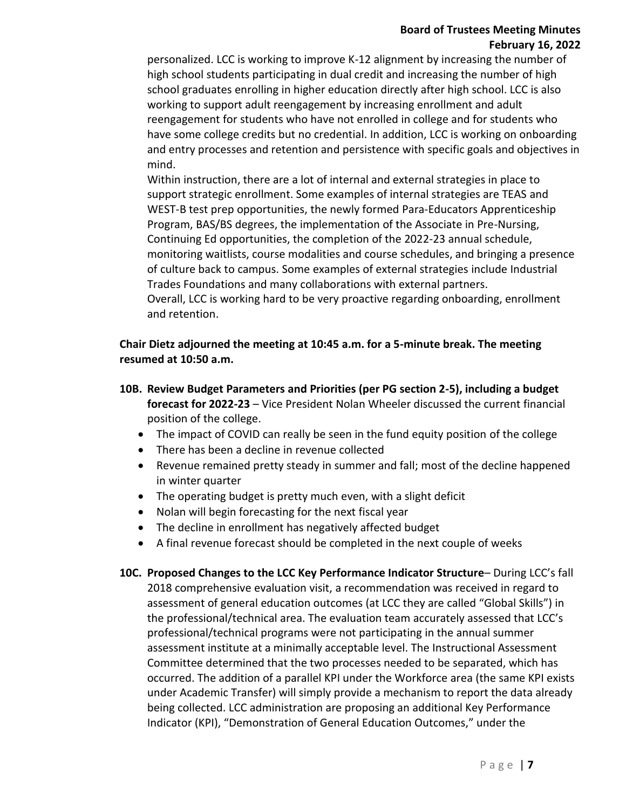## **Board of Trustees Meeting Minutes February 16, 2022**

personalized. LCC is working to improve K-12 alignment by increasing the number of high school students participating in dual credit and increasing the number of high school graduates enrolling in higher education directly after high school. LCC is also working to support adult reengagement by increasing enrollment and adult reengagement for students who have not enrolled in college and for students who have some college credits but no credential. In addition, LCC is working on onboarding and entry processes and retention and persistence with specific goals and objectives in mind.

Within instruction, there are a lot of internal and external strategies in place to support strategic enrollment. Some examples of internal strategies are TEAS and WEST-B test prep opportunities, the newly formed Para-Educators Apprenticeship Program, BAS/BS degrees, the implementation of the Associate in Pre-Nursing, Continuing Ed opportunities, the completion of the 2022-23 annual schedule, monitoring waitlists, course modalities and course schedules, and bringing a presence of culture back to campus. Some examples of external strategies include Industrial Trades Foundations and many collaborations with external partners. Overall, LCC is working hard to be very proactive regarding onboarding, enrollment

and retention.

# **Chair Dietz adjourned the meeting at 10:45 a.m. for a 5-minute break. The meeting resumed at 10:50 a.m.**

- **10B. Review Budget Parameters and Priorities (per PG section 2-5), including a budget forecast for 2022-23** – Vice President Nolan Wheeler discussed the current financial position of the college.
	- The impact of COVID can really be seen in the fund equity position of the college
	- There has been a decline in revenue collected
	- Revenue remained pretty steady in summer and fall; most of the decline happened in winter quarter
	- The operating budget is pretty much even, with a slight deficit
	- Nolan will begin forecasting for the next fiscal year
	- The decline in enrollment has negatively affected budget
	- A final revenue forecast should be completed in the next couple of weeks
- **10C. Proposed Changes to the LCC Key Performance Indicator Structure** During LCC's fall 2018 comprehensive evaluation visit, a recommendation was received in regard to assessment of general education outcomes (at LCC they are called "Global Skills") in the professional/technical area. The evaluation team accurately assessed that LCC's professional/technical programs were not participating in the annual summer assessment institute at a minimally acceptable level. The Instructional Assessment Committee determined that the two processes needed to be separated, which has occurred. The addition of a parallel KPI under the Workforce area (the same KPI exists under Academic Transfer) will simply provide a mechanism to report the data already being collected. LCC administration are proposing an additional Key Performance Indicator (KPI), "Demonstration of General Education Outcomes," under the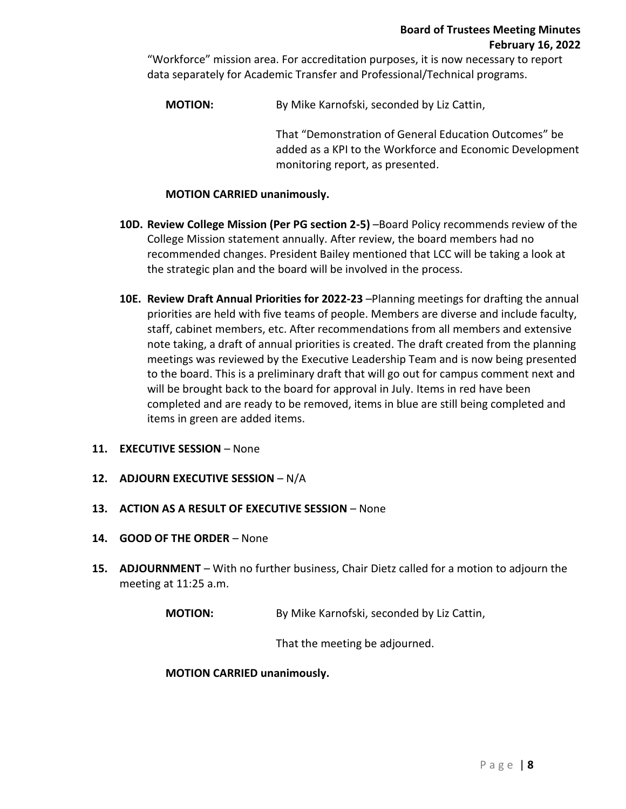"Workforce" mission area. For accreditation purposes, it is now necessary to report data separately for Academic Transfer and Professional/Technical programs.

**MOTION:** By Mike Karnofski, seconded by Liz Cattin,

That "Demonstration of General Education Outcomes" be added as a KPI to the Workforce and Economic Development monitoring report, as presented.

## **MOTION CARRIED unanimously.**

- **10D. Review College Mission (Per PG section 2-5)** –Board Policy recommends review of the College Mission statement annually. After review, the board members had no recommended changes. President Bailey mentioned that LCC will be taking a look at the strategic plan and the board will be involved in the process.
- **10E. Review Draft Annual Priorities for 2022-23** –Planning meetings for drafting the annual priorities are held with five teams of people. Members are diverse and include faculty, staff, cabinet members, etc. After recommendations from all members and extensive note taking, a draft of annual priorities is created. The draft created from the planning meetings was reviewed by the Executive Leadership Team and is now being presented to the board. This is a preliminary draft that will go out for campus comment next and will be brought back to the board for approval in July. Items in red have been completed and are ready to be removed, items in blue are still being completed and items in green are added items.
- **11. EXECUTIVE SESSION** None
- **12. ADJOURN EXECUTIVE SESSION** N/A
- **13. ACTION AS A RESULT OF EXECUTIVE SESSION** None
- **14. GOOD OF THE ORDER** None
- **15. ADJOURNMENT** With no further business, Chair Dietz called for a motion to adjourn the meeting at 11:25 a.m.

**MOTION:** By Mike Karnofski, seconded by Liz Cattin,

That the meeting be adjourned.

#### **MOTION CARRIED unanimously.**